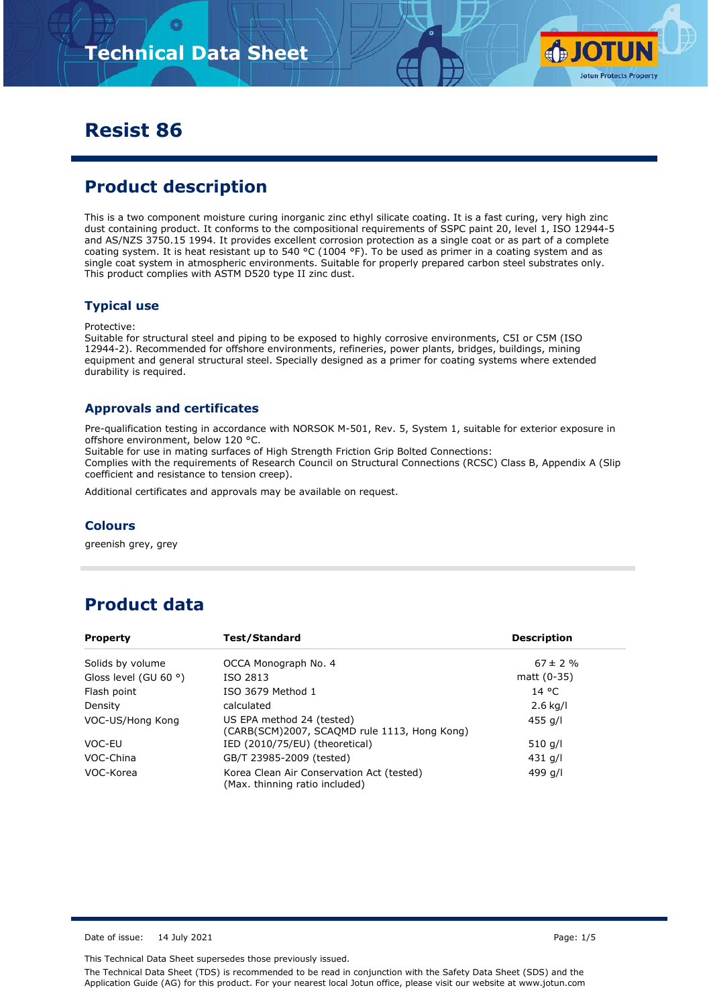

### **Resist 86**

# **Product description**

This is a two component moisture curing inorganic zinc ethyl silicate coating. It is a fast curing, very high zinc dust containing product. It conforms to the compositional requirements of SSPC paint 20, level 1, ISO 12944-5 and AS/NZS 3750.15 1994. It provides excellent corrosion protection as a single coat or as part of a complete coating system. It is heat resistant up to 540 °C (1004 °F). To be used as primer in a coating system and as single coat system in atmospheric environments. Suitable for properly prepared carbon steel substrates only. This product complies with ASTM D520 type II zinc dust.

#### **Typical use**

Protective:

Suitable for structural steel and piping to be exposed to highly corrosive environments, C5I or C5M (ISO 12944-2). Recommended for offshore environments, refineries, power plants, bridges, buildings, mining equipment and general structural steel. Specially designed as a primer for coating systems where extended durability is required.

#### **Approvals and certificates**

Pre-qualification testing in accordance with NORSOK M-501, Rev. 5, System 1, suitable for exterior exposure in offshore environment, below 120 °C.

Suitable for use in mating surfaces of High Strength Friction Grip Bolted Connections:

Complies with the requirements of Research Council on Structural Connections (RCSC) Class B, Appendix A (Slip coefficient and resistance to tension creep).

Additional certificates and approvals may be available on request.

#### **Colours**

greenish grey, grey

### **Product data**

| <b>Property</b>                | Test/Standard                                                               | <b>Description</b> |
|--------------------------------|-----------------------------------------------------------------------------|--------------------|
| Solids by volume               | OCCA Monograph No. 4                                                        | $67 \pm 2$ %       |
| Gloss level (GU 60 $\degree$ ) | ISO 2813                                                                    | matt (0-35)        |
| Flash point                    | ISO 3679 Method 1                                                           | 14 °C              |
| Density                        | calculated                                                                  | $2.6$ kg/l         |
| VOC-US/Hong Kong               | US EPA method 24 (tested)<br>(CARB(SCM)2007, SCAQMD rule 1113, Hong Kong)   | 455 g/l            |
| VOC-EU                         | IED (2010/75/EU) (theoretical)                                              | 510 g/l            |
| VOC-China                      | GB/T 23985-2009 (tested)                                                    | 431 g/l            |
| VOC-Korea                      | Korea Clean Air Conservation Act (tested)<br>(Max. thinning ratio included) | 499 g/l            |

Date of issue: 14 July 2021 **Page: 1/5** 

This Technical Data Sheet supersedes those previously issued.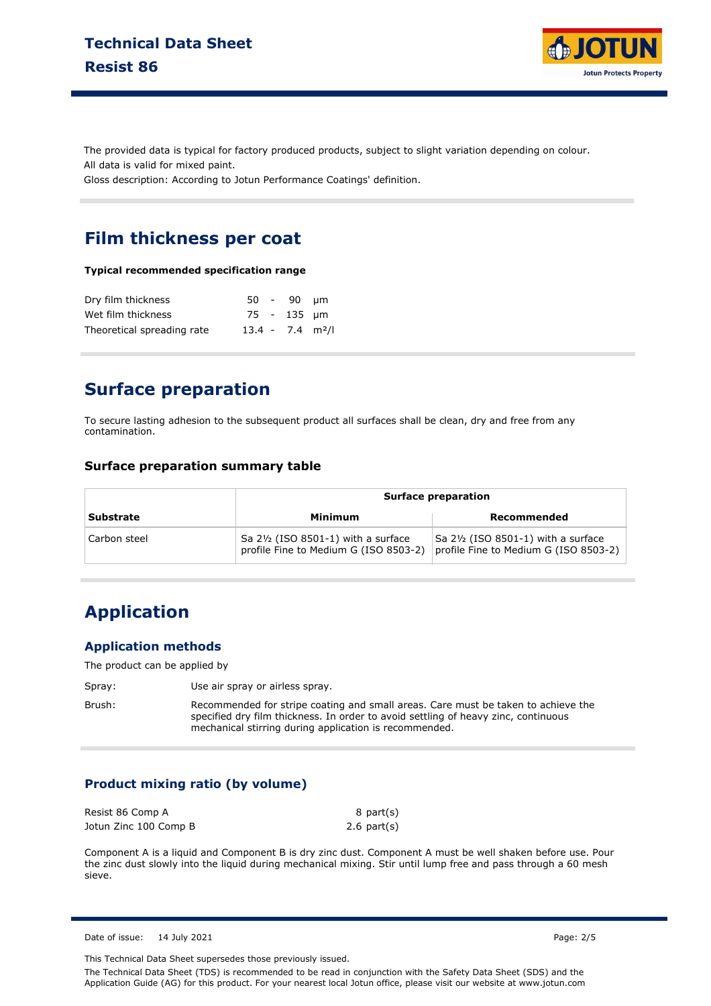

The provided data is typical for factory produced products, subject to slight variation depending on colour. All data is valid for mixed paint.

Gloss description: According to Jotun Performance Coatings' definition.

#### **Film thickness per coat**

**Typical recommended specification range**

| Dry film thickness         |                                | $50 - 90$ um |  |
|----------------------------|--------------------------------|--------------|--|
| Wet film thickness         |                                | 75 - 135 um  |  |
| Theoretical spreading rate | $13.4 - 7.4$ m <sup>2</sup> /l |              |  |

### **Surface preparation**

To secure lasting adhesion to the subsequent product all surfaces shall be clean, dry and free from any contamination.

#### **Surface preparation summary table**

|                  | <b>Surface preparation</b>                                                   |                                                                              |  |
|------------------|------------------------------------------------------------------------------|------------------------------------------------------------------------------|--|
| <b>Substrate</b> | Minimum                                                                      | Recommended                                                                  |  |
| Carbon steel     | Sa 21/2 (ISO 8501-1) with a surface<br>profile Fine to Medium G (ISO 8503-2) | Sa 21/2 (ISO 8501-1) with a surface<br>profile Fine to Medium G (ISO 8503-2) |  |

# **Application**

#### **Application methods**

The product can be applied by

Spray: Use air spray or airless spray.

Brush: Recommended for stripe coating and small areas. Care must be taken to achieve the specified dry film thickness. In order to avoid settling of heavy zinc, continuous mechanical stirring during application is recommended.

#### **Product mixing ratio (by volume)**

| Resist 86 Comp A      | 8 part(s)        |
|-----------------------|------------------|
| Jotun Zinc 100 Comp B | $2.6$ part $(s)$ |

Component A is a liquid and Component B is dry zinc dust. Component A must be well shaken before use. Pour the zinc dust slowly into the liquid during mechanical mixing. Stir until lump free and pass through a 60 mesh sieve.

Date of issue: 14 July 2021 **Page: 2/5** 

This Technical Data Sheet supersedes those previously issued.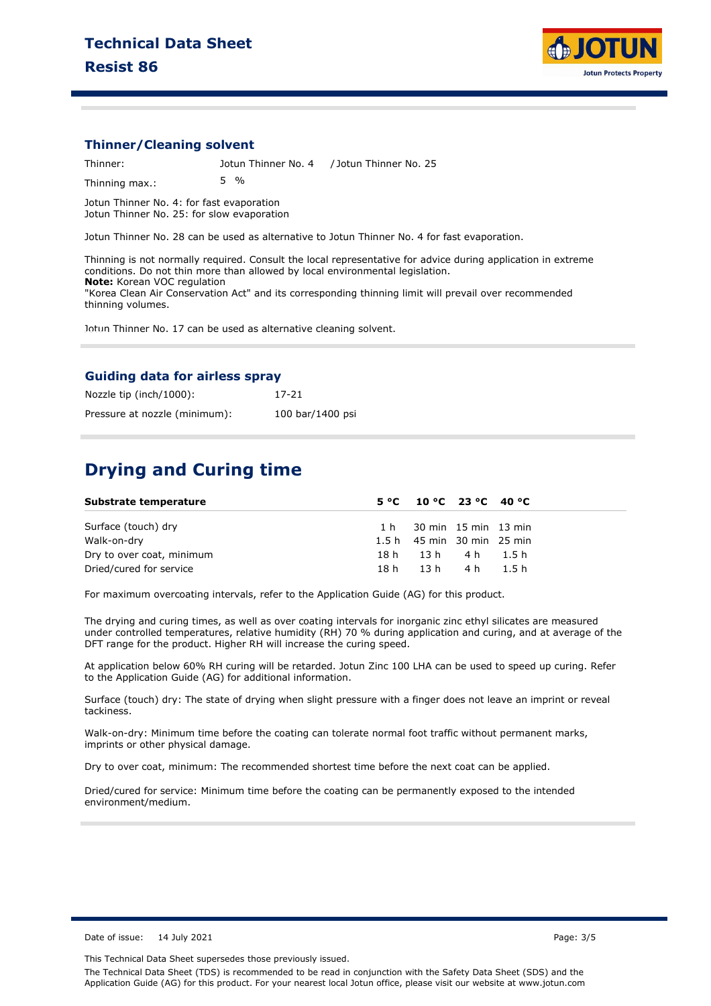

#### **Thinner/Cleaning solvent**

Thinner: Jotun Thinner No. 4 / Jotun Thinner No. 25 Thinning max.: 5 %

Jotun Thinner No. 4: for fast evaporation Jotun Thinner No. 25: for slow evaporation

Jotun Thinner No. 28 can be used as alternative to Jotun Thinner No. 4 for fast evaporation.

Thinning is not normally required. Consult the local representative for advice during application in extreme conditions. Do not thin more than allowed by local environmental legislation. **Note:** Korean VOC regulation "Korea Clean Air Conservation Act" and its corresponding thinning limit will prevail over recommended thinning volumes.

Jotun Thinner No. 17 can be used as alternative cleaning solvent.

#### **Guiding data for airless spray**

| Nozzle tip (inch/1000):       | $17 - 21$        |
|-------------------------------|------------------|
| Pressure at nozzle (minimum): | 100 bar/1400 psi |

#### **Drying and Curing time**

| Substrate temperature     | $5^{\circ}$ C 10 °C 23 °C 40 °C |  |
|---------------------------|---------------------------------|--|
| Surface (touch) dry       | $1 h$ 30 min $15$ min $13$ min  |  |
| Walk-on-dry               | $1.5 h$ 45 min 30 min 25 min    |  |
| Dry to over coat, minimum | 18h 13h 4h 1.5h                 |  |
| Dried/cured for service   | 18h 13h 4h 1.5h                 |  |

For maximum overcoating intervals, refer to the Application Guide (AG) for this product.

The drying and curing times, as well as over coating intervals for inorganic zinc ethyl silicates are measured under controlled temperatures, relative humidity (RH) 70 % during application and curing, and at average of the DFT range for the product. Higher RH will increase the curing speed.

At application below 60% RH curing will be retarded. Jotun Zinc 100 LHA can be used to speed up curing. Refer to the Application Guide (AG) for additional information.

Surface (touch) dry: The state of drying when slight pressure with a finger does not leave an imprint or reveal tackiness.

Walk-on-dry: Minimum time before the coating can tolerate normal foot traffic without permanent marks, imprints or other physical damage.

Dry to over coat, minimum: The recommended shortest time before the next coat can be applied.

Dried/cured for service: Minimum time before the coating can be permanently exposed to the intended environment/medium.

Date of issue: 14 July 2021 2012 12:30 Page: 3/5

This Technical Data Sheet supersedes those previously issued.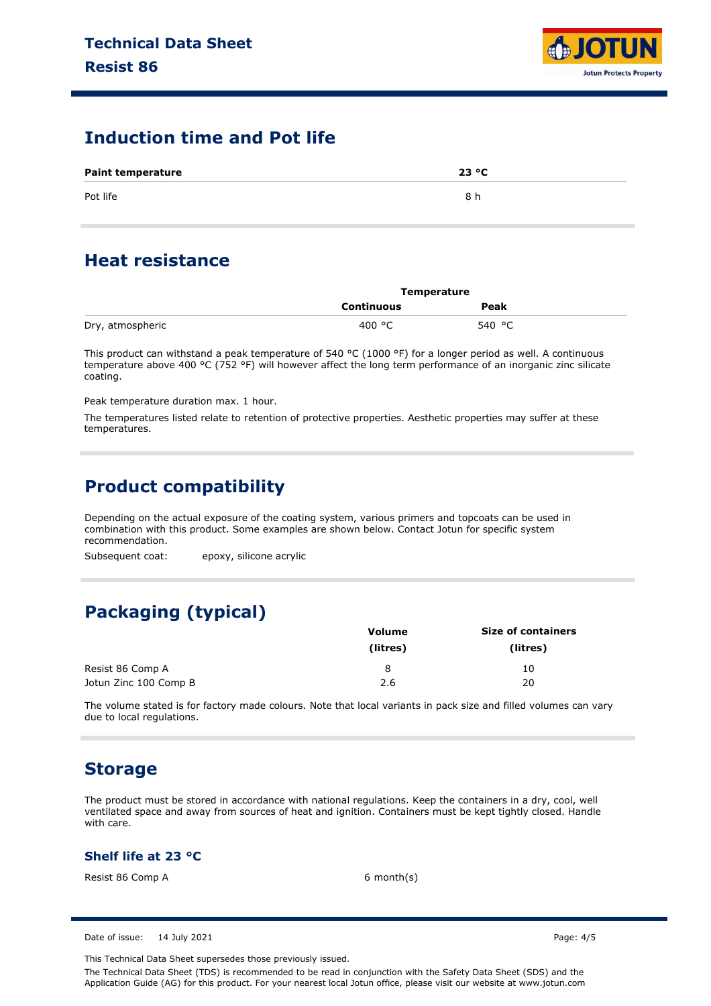

#### **Induction time and Pot life**

| <b>Paint temperature</b> | 23 °C |
|--------------------------|-------|
| Pot life                 | 8 h   |

### **Heat resistance**

|                  | Temperature |        |  |
|------------------|-------------|--------|--|
|                  | Continuous  | Peak   |  |
| Dry, atmospheric | 400 °C      | 540 °C |  |

This product can withstand a peak temperature of 540 °C (1000 °F) for a longer period as well. A continuous temperature above 400 °C (752 °F) will however affect the long term performance of an inorganic zinc silicate coating.

Peak temperature duration max. 1 hour.

The temperatures listed relate to retention of protective properties. Aesthetic properties may suffer at these temperatures.

### **Product compatibility**

Depending on the actual exposure of the coating system, various primers and topcoats can be used in combination with this product. Some examples are shown below. Contact Jotun for specific system recommendation.

Subsequent coat: epoxy, silicone acrylic

# **Packaging (typical)**

|                       | <b>Volume</b> | <b>Size of containers</b> |
|-----------------------|---------------|---------------------------|
|                       | (litres)      | (litres)                  |
| Resist 86 Comp A      | 8             | 10                        |
| Jotun Zinc 100 Comp B | 2.6           | 20                        |

The volume stated is for factory made colours. Note that local variants in pack size and filled volumes can vary due to local regulations.

#### **Storage**

The product must be stored in accordance with national regulations. Keep the containers in a dry, cool, well ventilated space and away from sources of heat and ignition. Containers must be kept tightly closed. Handle with care.

#### **Shelf life at 23 °C**

Resist 86 Comp A 6 month(s)

Date of issue: 14 July 2021 **Page: 4/5** 

This Technical Data Sheet supersedes those previously issued.